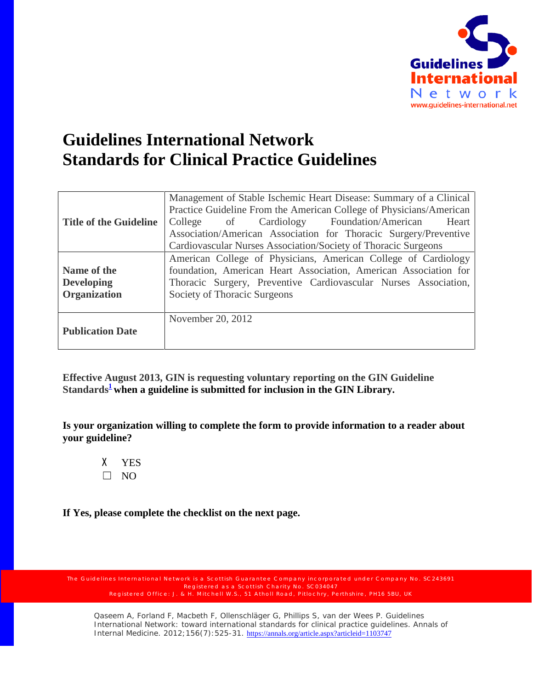

## **Guidelines International Network Standards for Clinical Practice Guidelines**

| <b>Title of the Guideline</b>                           | Management of Stable Ischemic Heart Disease: Summary of a Clinical<br>Practice Guideline From the American College of Physicians/American<br>College of Cardiology Foundation/American Heart<br>Association/American Association for Thoracic Surgery/Preventive |  |  |
|---------------------------------------------------------|------------------------------------------------------------------------------------------------------------------------------------------------------------------------------------------------------------------------------------------------------------------|--|--|
|                                                         | Cardiovascular Nurses Association/Society of Thoracic Surgeons                                                                                                                                                                                                   |  |  |
| Name of the<br><b>Developing</b><br><b>Organization</b> | American College of Physicians, American College of Cardiology<br>foundation, American Heart Association, American Association for<br>Thoracic Surgery, Preventive Cardiovascular Nurses Association,<br>Society of Thoracic Surgeons                            |  |  |
| <b>Publication Date</b>                                 | November 20, 2012                                                                                                                                                                                                                                                |  |  |

**Effective August 2013, GIN is requesting voluntary reporting on the GIN Guideline**  Standards<sup>1</sup> when a guideline is submitted for inclusion in the GIN Library.

**Is your organization willing to complete the form to provide information to a reader about your guideline?**

X YES  $\Box$  NO

**If Yes, please complete the checklist on the next page.**

Registered as a Scottish Charity No. SC034047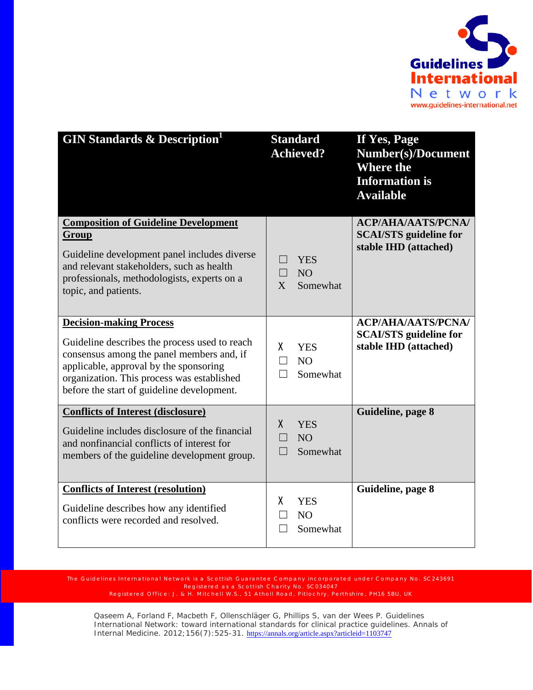

| <b>GIN Standards &amp; Description</b>                                                                                                                                                                                                                             | <b>Standard</b><br><b>Achieved?</b>                                          | If Yes, Page<br><b>Number(s)/Document</b><br><b>Where the</b><br><b>Information is</b><br><b>Available</b> |
|--------------------------------------------------------------------------------------------------------------------------------------------------------------------------------------------------------------------------------------------------------------------|------------------------------------------------------------------------------|------------------------------------------------------------------------------------------------------------|
| <b>Composition of Guideline Development</b><br>Group<br>Guideline development panel includes diverse<br>and relevant stakeholders, such as health<br>professionals, methodologists, experts on a<br>topic, and patients.                                           | <b>YES</b><br>N <sub>O</sub><br>$\Box$<br>Somewhat<br>X                      | <b>ACP/AHA/AATS/PCNA/</b><br><b>SCAI/STS</b> guideline for<br>stable IHD (attached)                        |
| <b>Decision-making Process</b><br>Guideline describes the process used to reach<br>consensus among the panel members and, if<br>applicable, approval by the sponsoring<br>organization. This process was established<br>before the start of guideline development. | χ<br><b>YES</b><br>N <sub>O</sub><br>$\Box$<br>Somewhat<br>$\vert \ \ \vert$ | <b>ACP/AHA/AATS/PCNA/</b><br><b>SCAI/STS</b> guideline for<br>stable IHD (attached)                        |
| <b>Conflicts of Interest (disclosure)</b><br>Guideline includes disclosure of the financial<br>and nonfinancial conflicts of interest for<br>members of the guideline development group.                                                                           | X<br><b>YES</b><br>N <sub>O</sub><br>Somewhat<br>$\vert \ \ \vert$           | Guideline, page 8                                                                                          |
| <b>Conflicts of Interest (resolution)</b><br>Guideline describes how any identified<br>conflicts were recorded and resolved.                                                                                                                                       | X<br><b>YES</b><br>N <sub>O</sub><br>Somewhat                                | Guideline, page 8                                                                                          |

Registered as a Scottish Charity No. SC034047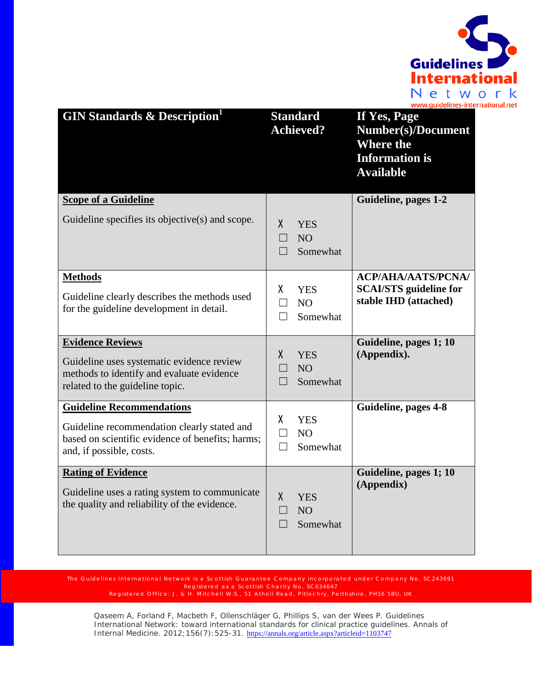

| <b>GIN Standards &amp; Description</b>                                                                                                                          | <b>Standard</b><br><b>Achieved?</b>                                          | If Yes, Page<br><b>Number(s)/Document</b><br><b>Where the</b><br><b>Information is</b><br><b>Available</b> |
|-----------------------------------------------------------------------------------------------------------------------------------------------------------------|------------------------------------------------------------------------------|------------------------------------------------------------------------------------------------------------|
| <b>Scope of a Guideline</b>                                                                                                                                     |                                                                              | Guideline, pages 1-2                                                                                       |
| Guideline specifies its objective(s) and scope.                                                                                                                 | X.<br><b>YES</b><br>NO <sub>1</sub><br>$\Box$<br>Somewhat                    |                                                                                                            |
| <b>Methods</b><br>Guideline clearly describes the methods used<br>for the guideline development in detail.                                                      | X.<br><b>YES</b><br>NO <sub>1</sub><br>$\Box$<br>Somewhat<br>П               | <b>ACP/AHA/AATS/PCNA/</b><br><b>SCAI/STS</b> guideline for<br>stable IHD (attached)                        |
| <b>Evidence Reviews</b><br>Guideline uses systematic evidence review<br>methods to identify and evaluate evidence<br>related to the guideline topic.            | X<br><b>YES</b><br>N <sub>O</sub><br>$\Box$<br>Somewhat<br>$\vert \ \ \vert$ | Guideline, pages 1; 10<br>(Appendix).                                                                      |
| <b>Guideline Recommendations</b><br>Guideline recommendation clearly stated and<br>based on scientific evidence of benefits; harms;<br>and, if possible, costs. | χ<br><b>YES</b><br>N <sub>O</sub><br>$\perp$<br>Somewhat<br>$\Box$           | Guideline, pages 4-8                                                                                       |
| <b>Rating of Evidence</b><br>Guideline uses a rating system to communicate<br>the quality and reliability of the evidence.                                      | $\mathsf{X}$<br><b>YES</b><br><b>NO</b><br>Somewhat<br>$\vert \ \ \vert$     | Guideline, pages 1; 10<br>(Appendix)                                                                       |

Registered as a Scottish Charity No. SC034047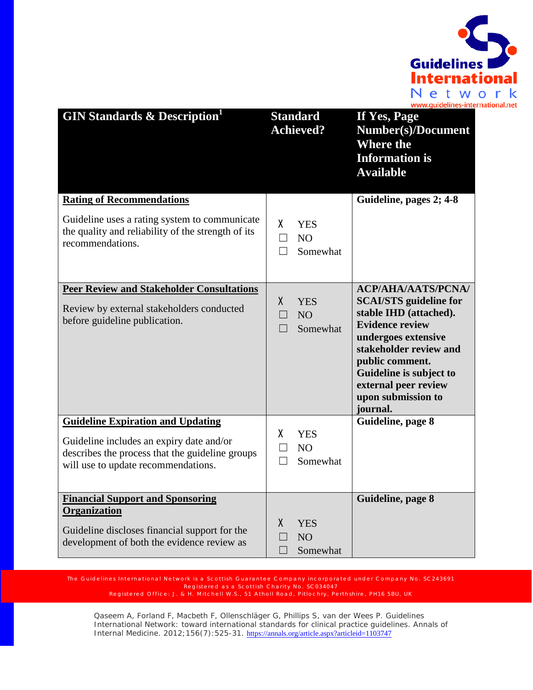

| <b>GIN Standards &amp; Description</b>                                                                                             | <b>Standard</b><br><b>Achieved?</b>                                       | If Yes, Page<br><b>Number(s)/Document</b><br><b>Where the</b><br><b>Information is</b><br><b>Available</b>                                                                                                                                 |
|------------------------------------------------------------------------------------------------------------------------------------|---------------------------------------------------------------------------|--------------------------------------------------------------------------------------------------------------------------------------------------------------------------------------------------------------------------------------------|
| <b>Rating of Recommendations</b>                                                                                                   |                                                                           | Guideline, pages 2; 4-8                                                                                                                                                                                                                    |
| Guideline uses a rating system to communicate<br>the quality and reliability of the strength of its<br>recommendations.            | X.<br><b>YES</b><br>N <sub>O</sub><br>$\Box$<br>Somewhat<br>П             |                                                                                                                                                                                                                                            |
| <b>Peer Review and Stakeholder Consultations</b>                                                                                   |                                                                           | <b>ACP/AHA/AATS/PCNA/</b>                                                                                                                                                                                                                  |
| Review by external stakeholders conducted<br>before guideline publication.                                                         | $\mathsf{X}$<br><b>YES</b><br>NO <sub>1</sub><br>$\mathbf{L}$<br>Somewhat | <b>SCAI/STS</b> guideline for<br>stable IHD (attached).<br><b>Evidence review</b><br>undergoes extensive<br>stakeholder review and<br>public comment.<br>Guideline is subject to<br>external peer review<br>upon submission to<br>journal. |
| <b>Guideline Expiration and Updating</b>                                                                                           | X                                                                         | Guideline, page 8                                                                                                                                                                                                                          |
| Guideline includes an expiry date and/or<br>describes the process that the guideline groups<br>will use to update recommendations. | <b>YES</b><br>N <sub>O</sub><br>$\perp$<br>Somewhat<br>$\perp$            |                                                                                                                                                                                                                                            |
| <b>Financial Support and Sponsoring</b><br>Organization                                                                            |                                                                           | Guideline, page 8                                                                                                                                                                                                                          |
| Guideline discloses financial support for the<br>development of both the evidence review as                                        | X<br><b>YES</b><br>N <sub>O</sub><br>Somewhat                             |                                                                                                                                                                                                                                            |

Registered as a Scottish Charity No. SC034047